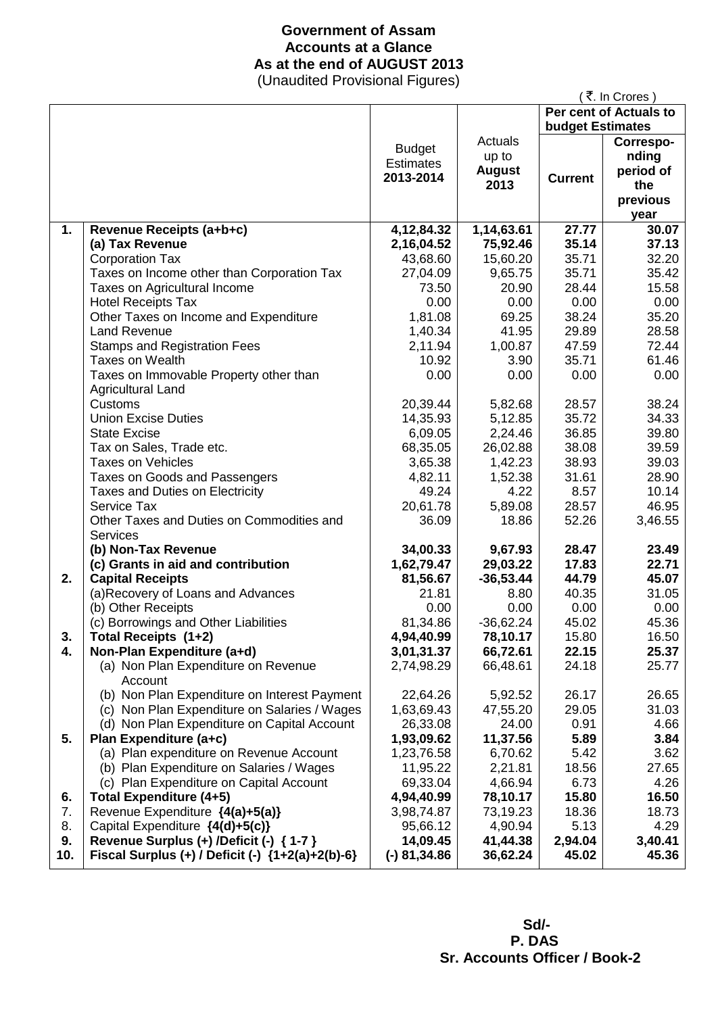## **Government of Assam Accounts at a Glance As at the end of AUGUST 2013**

(Unaudited Provisional Figures)

|     |                                                          |                  |               |                         | ₹. In Crores)          |
|-----|----------------------------------------------------------|------------------|---------------|-------------------------|------------------------|
|     |                                                          |                  |               |                         | Per cent of Actuals to |
|     |                                                          |                  |               | <b>budget Estimates</b> |                        |
|     |                                                          | <b>Budget</b>    | Actuals       |                         | Correspo-              |
|     |                                                          | <b>Estimates</b> | up to         |                         | nding                  |
|     |                                                          | 2013-2014        | <b>August</b> | <b>Current</b>          | period of              |
|     |                                                          |                  | 2013          |                         | the                    |
|     |                                                          |                  |               |                         | previous               |
|     |                                                          |                  |               |                         | year                   |
| 1.  | Revenue Receipts (a+b+c)                                 | 4,12,84.32       | 1,14,63.61    | 27.77                   | 30.07                  |
|     | (a) Tax Revenue                                          | 2,16,04.52       | 75,92.46      | 35.14                   | 37.13                  |
|     | <b>Corporation Tax</b>                                   | 43,68.60         | 15,60.20      | 35.71                   | 32.20                  |
|     | Taxes on Income other than Corporation Tax               | 27,04.09         | 9,65.75       | 35.71                   | 35.42                  |
|     | Taxes on Agricultural Income                             | 73.50            | 20.90         | 28.44                   | 15.58                  |
|     | <b>Hotel Receipts Tax</b>                                | 0.00             | 0.00          | 0.00                    | 0.00                   |
|     | Other Taxes on Income and Expenditure                    | 1,81.08          | 69.25         | 38.24                   | 35.20                  |
|     | <b>Land Revenue</b>                                      | 1,40.34          | 41.95         | 29.89                   | 28.58                  |
|     | <b>Stamps and Registration Fees</b>                      | 2,11.94          | 1,00.87       | 47.59                   | 72.44                  |
|     | <b>Taxes on Wealth</b>                                   | 10.92            | 3.90          | 35.71                   | 61.46                  |
|     | Taxes on Immovable Property other than                   | 0.00             | 0.00          | 0.00                    | 0.00                   |
|     | <b>Agricultural Land</b>                                 |                  |               |                         |                        |
|     | Customs                                                  | 20,39.44         | 5,82.68       | 28.57                   | 38.24                  |
|     | <b>Union Excise Duties</b>                               | 14,35.93         | 5,12.85       | 35.72                   | 34.33                  |
|     | <b>State Excise</b>                                      | 6,09.05          | 2,24.46       | 36.85                   | 39.80                  |
|     | Tax on Sales, Trade etc.                                 | 68,35.05         | 26,02.88      | 38.08                   | 39.59                  |
|     | <b>Taxes on Vehicles</b>                                 | 3,65.38          | 1,42.23       | 38.93                   | 39.03                  |
|     | Taxes on Goods and Passengers                            | 4,82.11          | 1,52.38       | 31.61                   | 28.90                  |
|     | <b>Taxes and Duties on Electricity</b>                   | 49.24            | 4.22          | 8.57                    | 10.14                  |
|     | Service Tax                                              | 20,61.78         | 5,89.08       | 28.57                   | 46.95                  |
|     | Other Taxes and Duties on Commodities and                | 36.09            | 18.86         | 52.26                   | 3,46.55                |
|     | <b>Services</b>                                          |                  |               |                         |                        |
|     | (b) Non-Tax Revenue                                      | 34,00.33         | 9,67.93       | 28.47                   | 23.49                  |
|     | (c) Grants in aid and contribution                       | 1,62,79.47       | 29,03.22      | 17.83                   | 22.71                  |
| 2.  | <b>Capital Receipts</b>                                  | 81,56.67         | $-36,53.44$   | 44.79                   | 45.07                  |
|     | (a)Recovery of Loans and Advances                        | 21.81            | 8.80          | 40.35                   | 31.05                  |
|     | (b) Other Receipts                                       | 0.00             | 0.00          | 0.00                    | 0.00                   |
|     | (c) Borrowings and Other Liabilities                     | 81,34.86         | $-36,62.24$   | 45.02                   | 45.36                  |
| 3.  | Total Receipts (1+2)                                     | 4,94,40.99       | 78,10.17      | 15.80                   | 16.50                  |
| 4.  | Non-Plan Expenditure (a+d)                               | 3,01,31.37       | 66,72.61      | 22.15                   | 25.37                  |
|     | (a) Non Plan Expenditure on Revenue                      | 2,74,98.29       | 66,48.61      | 24.18                   | 25.77                  |
|     | Account                                                  |                  |               |                         |                        |
|     | (b) Non Plan Expenditure on Interest Payment             | 22,64.26         | 5,92.52       | 26.17                   | 26.65                  |
|     | (c) Non Plan Expenditure on Salaries / Wages             | 1,63,69.43       | 47,55.20      | 29.05                   | 31.03                  |
|     | (d) Non Plan Expenditure on Capital Account              | 26,33.08         | 24.00         | 0.91                    | 4.66                   |
| 5.  | Plan Expenditure (a+c)                                   | 1,93,09.62       | 11,37.56      | 5.89                    | 3.84                   |
|     | (a) Plan expenditure on Revenue Account                  | 1,23,76.58       | 6,70.62       | 5.42                    | 3.62                   |
|     | (b) Plan Expenditure on Salaries / Wages                 | 11,95.22         | 2,21.81       | 18.56                   | 27.65                  |
|     | (c) Plan Expenditure on Capital Account                  | 69,33.04         | 4,66.94       | 6.73                    | 4.26                   |
| 6.  | <b>Total Expenditure (4+5)</b>                           | 4,94,40.99       | 78,10.17      | 15.80                   | 16.50                  |
| 7.  | Revenue Expenditure {4(a)+5(a)}                          | 3,98,74.87       | 73,19.23      | 18.36                   | 18.73                  |
| 8.  | Capital Expenditure {4(d)+5(c)}                          | 95,66.12         | 4,90.94       | 5.13                    | 4.29                   |
| 9.  | Revenue Surplus (+) /Deficit (-) { 1-7 }                 | 14,09.45         | 41,44.38      | 2,94.04                 | 3,40.41                |
| 10. | Fiscal Surplus $(+)$ / Deficit $(-)$ $\{1+2(a)+2(b)-6\}$ | $(-) 81,34.86$   | 36,62.24      | 45.02                   | 45.36                  |

 **Sd/- P. DAS Sr. Accounts Officer / Book-2**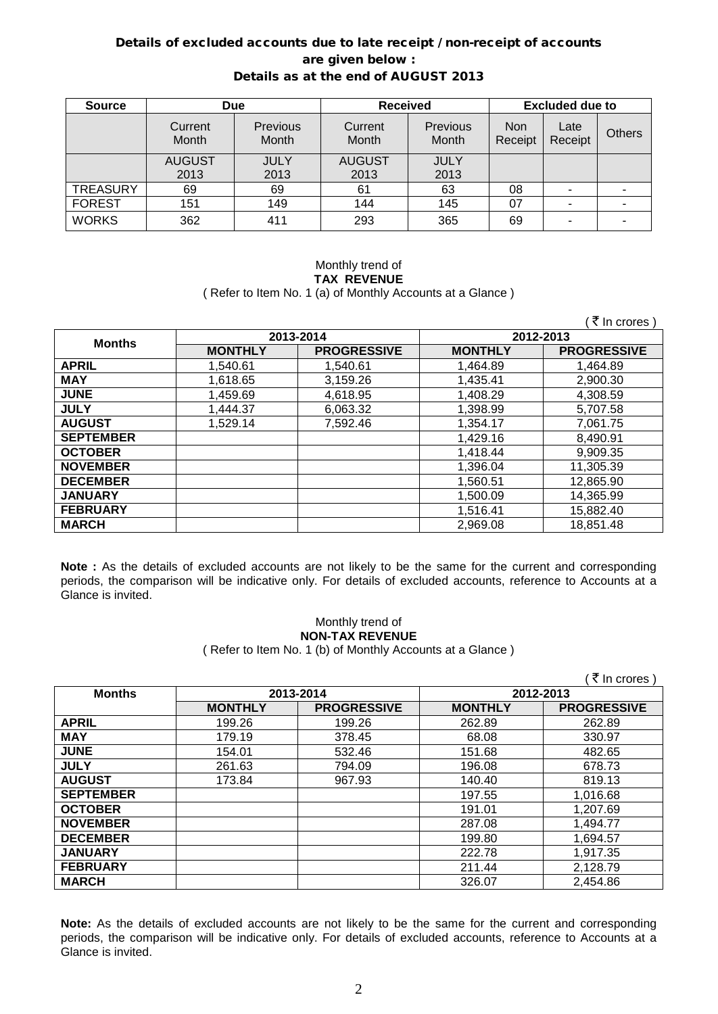### Details of excluded accounts due to late receipt / non-receipt of accounts are given below : Details as at the end of AUGUST 2013

| <b>Source</b>   | <b>Due</b>       |                   | <b>Received</b>  |                   | <b>Excluded due to</b> |                 |               |
|-----------------|------------------|-------------------|------------------|-------------------|------------------------|-----------------|---------------|
|                 | Current<br>Month | Previous<br>Month | Current<br>Month | Previous<br>Month | <b>Non</b><br>Receipt  | Late<br>Receipt | <b>Others</b> |
|                 | <b>AUGUST</b>    | <b>JULY</b>       | <b>AUGUST</b>    | <b>JULY</b>       |                        |                 |               |
|                 | 2013             | 2013              | 2013             | 2013              |                        |                 |               |
| <b>TREASURY</b> | 69               | 69                | 61               | 63                | 08                     |                 |               |
| <b>FOREST</b>   | 151              | 149               | 144              | 145               | 07                     |                 |               |
| <b>WORKS</b>    | 362              | 411               | 293              | 365               | 69                     | ۰               |               |

#### Monthly trend of **TAX REVENUE** ( Refer to Item No. 1 (a) of Monthly Accounts at a Glance )

 $($   $\overline{z}$  In crores )

| <b>Months</b>    | 2013-2014      |                    | 2012-2013      |                    |
|------------------|----------------|--------------------|----------------|--------------------|
|                  | <b>MONTHLY</b> | <b>PROGRESSIVE</b> | <b>MONTHLY</b> | <b>PROGRESSIVE</b> |
| <b>APRIL</b>     | 1,540.61       | 1,540.61           | 1,464.89       | 1,464.89           |
| <b>MAY</b>       | 1,618.65       | 3,159.26           | 1,435.41       | 2,900.30           |
| <b>JUNE</b>      | 1,459.69       | 4,618.95           | 1,408.29       | 4,308.59           |
| <b>JULY</b>      | 1,444.37       | 6,063.32           | 1,398.99       | 5,707.58           |
| <b>AUGUST</b>    | 1,529.14       | 7,592.46           | 1,354.17       | 7,061.75           |
| <b>SEPTEMBER</b> |                |                    | 1,429.16       | 8,490.91           |
| <b>OCTOBER</b>   |                |                    | 1,418.44       | 9,909.35           |
| <b>NOVEMBER</b>  |                |                    | 1,396.04       | 11,305.39          |
| <b>DECEMBER</b>  |                |                    | 1,560.51       | 12,865.90          |
| <b>JANUARY</b>   |                |                    | 1,500.09       | 14,365.99          |
| <b>FEBRUARY</b>  |                |                    | 1,516.41       | 15,882.40          |
| <b>MARCH</b>     |                |                    | 2,969.08       | 18,851.48          |

**Note :** As the details of excluded accounts are not likely to be the same for the current and corresponding periods, the comparison will be indicative only. For details of excluded accounts, reference to Accounts at a Glance is invited.

### Monthly trend of **NON-TAX REVENUE**

( Refer to Item No. 1 (b) of Monthly Accounts at a Glance )

|                  |                |                    |                | ₹ In crores        |
|------------------|----------------|--------------------|----------------|--------------------|
| <b>Months</b>    |                | 2013-2014          | 2012-2013      |                    |
|                  | <b>MONTHLY</b> | <b>PROGRESSIVE</b> | <b>MONTHLY</b> | <b>PROGRESSIVE</b> |
| <b>APRIL</b>     | 199.26         | 199.26             | 262.89         | 262.89             |
| <b>MAY</b>       | 179.19         | 378.45             | 68.08          | 330.97             |
| <b>JUNE</b>      | 154.01         | 532.46             | 151.68         | 482.65             |
| <b>JULY</b>      | 261.63         | 794.09             | 196.08         | 678.73             |
| <b>AUGUST</b>    | 173.84         | 967.93             | 140.40         | 819.13             |
| <b>SEPTEMBER</b> |                |                    | 197.55         | 1,016.68           |
| <b>OCTOBER</b>   |                |                    | 191.01         | 1,207.69           |
| <b>NOVEMBER</b>  |                |                    | 287.08         | 1,494.77           |
| <b>DECEMBER</b>  |                |                    | 199.80         | 1,694.57           |
| <b>JANUARY</b>   |                |                    | 222.78         | 1,917.35           |
| <b>FEBRUARY</b>  |                |                    | 211.44         | 2,128.79           |
| <b>MARCH</b>     |                |                    | 326.07         | 2,454.86           |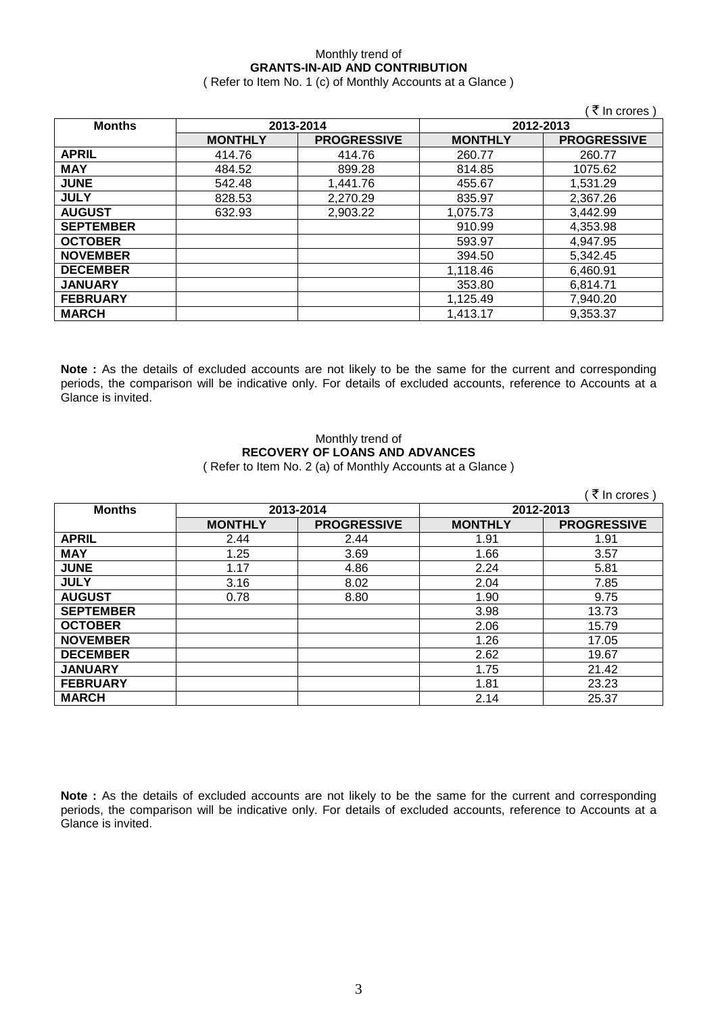### Monthly trend of **GRANTS-IN-AID AND CONTRIBUTION**

( Refer to Item No. 1 (c) of Monthly Accounts at a Glance )

|                  |                |                    |                | ₹ In crores        |
|------------------|----------------|--------------------|----------------|--------------------|
| <b>Months</b>    |                | 2013-2014          |                | 2012-2013          |
|                  | <b>MONTHLY</b> | <b>PROGRESSIVE</b> | <b>MONTHLY</b> | <b>PROGRESSIVE</b> |
| <b>APRIL</b>     | 414.76         | 414.76             | 260.77         | 260.77             |
| <b>MAY</b>       | 484.52         | 899.28             | 814.85         | 1075.62            |
| <b>JUNE</b>      | 542.48         | 1,441.76           | 455.67         | 1,531.29           |
| <b>JULY</b>      | 828.53         | 2,270.29           | 835.97         | 2,367.26           |
| <b>AUGUST</b>    | 632.93         | 2,903.22           | 1,075.73       | 3,442.99           |
| <b>SEPTEMBER</b> |                |                    | 910.99         | 4,353.98           |
| <b>OCTOBER</b>   |                |                    | 593.97         | 4,947.95           |
| <b>NOVEMBER</b>  |                |                    | 394.50         | 5,342.45           |
| <b>DECEMBER</b>  |                |                    | 1.118.46       | 6.460.91           |
| <b>JANUARY</b>   |                |                    | 353.80         | 6,814.71           |
| <b>FEBRUARY</b>  |                |                    | 1,125.49       | 7,940.20           |
| <b>MARCH</b>     |                |                    | 1,413.17       | 9,353.37           |

**Note :** As the details of excluded accounts are not likely to be the same for the current and corresponding periods, the comparison will be indicative only. For details of excluded accounts, reference to Accounts at a Glance is invited.

#### Monthly trend of **RECOVERY OF LOANS AND ADVANCES** ( Refer to Item No. 2 (a) of Monthly Accounts at a Glance )

 $($   $\overline{\tau}$  In crores ) **Months 2013-2014 2012-2013 PROGRESSIVE**<br>  $\frac{2.44}{2.44}$  **PROGRESSIVE APRIL** 2.44 2.44 2.44 1.91 1.91 **MAY** 1.25 1.66 3.57 **JUNE** 1.17 4.86 2.24 5.81 **JULY** 3.16 8.02 2.04 7.85 **AUGUST** 0.78 8.80 1.90 9.75 **SEPTEMBER** 3.98 13.73<br> **OCTOBER** 2.06 15.79 **OCTOBER** 2.06 15.79 **NOVEMBER** 1.26 17.05 **DECEMBER** 2.62 19.67 **JANUARY** 1.75 21.42 **FEBRUARY** 1.81 23.23

**Note :** As the details of excluded accounts are not likely to be the same for the current and corresponding periods, the comparison will be indicative only. For details of excluded accounts, reference to Accounts at a Glance is invited.

**MARCH** 25.37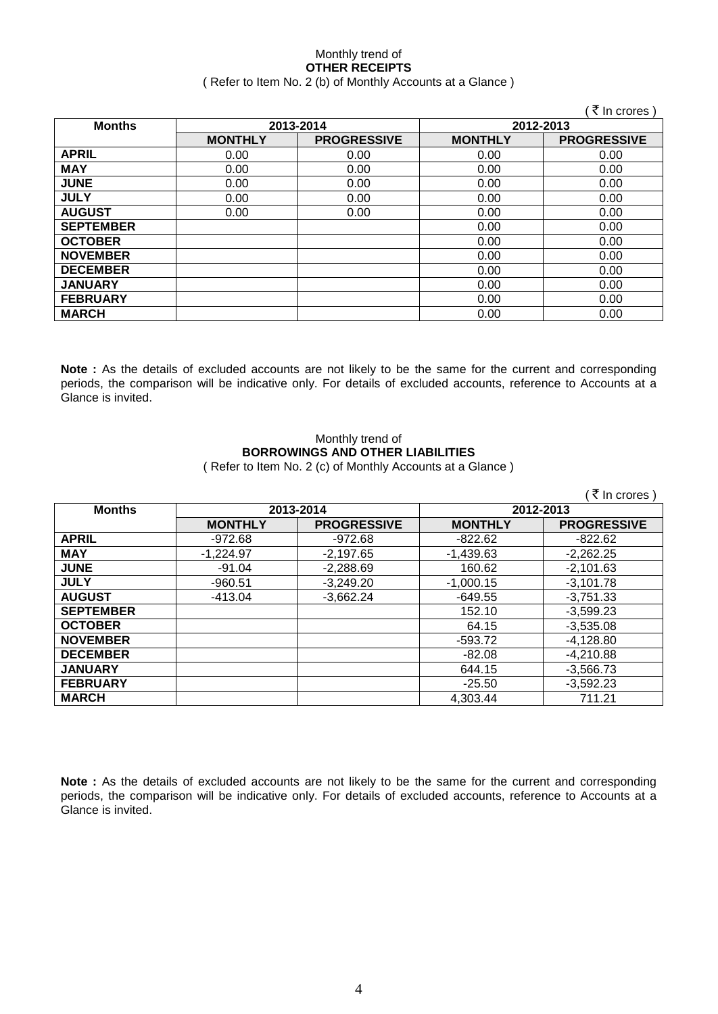#### Monthly trend of **OTHER RECEIPTS** ( Refer to Item No. 2 (b) of Monthly Accounts at a Glance )

|                  |                |                    |                | (₹ In crores)      |
|------------------|----------------|--------------------|----------------|--------------------|
| <b>Months</b>    |                | 2013-2014          | 2012-2013      |                    |
|                  | <b>MONTHLY</b> | <b>PROGRESSIVE</b> | <b>MONTHLY</b> | <b>PROGRESSIVE</b> |
| <b>APRIL</b>     | 0.00           | 0.00               | 0.00           | 0.00               |
| <b>MAY</b>       | 0.00           | 0.00               | 0.00           | 0.00               |
| <b>JUNE</b>      | 0.00           | 0.00               | 0.00           | 0.00               |
| <b>JULY</b>      | 0.00           | 0.00               | 0.00           | 0.00               |
| <b>AUGUST</b>    | 0.00           | 0.00               | 0.00           | 0.00               |
| <b>SEPTEMBER</b> |                |                    | 0.00           | 0.00               |
| <b>OCTOBER</b>   |                |                    | 0.00           | 0.00               |
| <b>NOVEMBER</b>  |                |                    | 0.00           | 0.00               |
| <b>DECEMBER</b>  |                |                    | 0.00           | 0.00               |
| <b>JANUARY</b>   |                |                    | 0.00           | 0.00               |
| <b>FEBRUARY</b>  |                |                    | 0.00           | 0.00               |
| <b>MARCH</b>     |                |                    | 0.00           | 0.00               |

**Note :** As the details of excluded accounts are not likely to be the same for the current and corresponding periods, the comparison will be indicative only. For details of excluded accounts, reference to Accounts at a Glance is invited.

### Monthly trend of **BORROWINGS AND OTHER LIABILITIES**

( Refer to Item No. 2 (c) of Monthly Accounts at a Glance )

|                  |                |                    |                | ₹ In crores )      |
|------------------|----------------|--------------------|----------------|--------------------|
| <b>Months</b>    |                | 2013-2014          | 2012-2013      |                    |
|                  | <b>MONTHLY</b> | <b>PROGRESSIVE</b> | <b>MONTHLY</b> | <b>PROGRESSIVE</b> |
| <b>APRIL</b>     | -972.68        | $-972.68$          | $-822.62$      | $-822.62$          |
| <b>MAY</b>       | $-1,224.97$    | $-2,197.65$        | $-1,439.63$    | $-2,262.25$        |
| <b>JUNE</b>      | $-91.04$       | $-2,288.69$        | 160.62         | $-2,101.63$        |
| <b>JULY</b>      | $-960.51$      | $-3,249.20$        | $-1,000.15$    | $-3,101.78$        |
| <b>AUGUST</b>    | -413.04        | $-3,662.24$        | $-649.55$      | $-3,751.33$        |
| <b>SEPTEMBER</b> |                |                    | 152.10         | $-3,599.23$        |
| <b>OCTOBER</b>   |                |                    | 64.15          | $-3,535.08$        |
| <b>NOVEMBER</b>  |                |                    | $-593.72$      | $-4,128.80$        |
| <b>DECEMBER</b>  |                |                    | $-82.08$       | $-4,210.88$        |
| <b>JANUARY</b>   |                |                    | 644.15         | $-3,566.73$        |
| <b>FEBRUARY</b>  |                |                    | $-25.50$       | $-3,592.23$        |
| <b>MARCH</b>     |                |                    | 4,303.44       | 711.21             |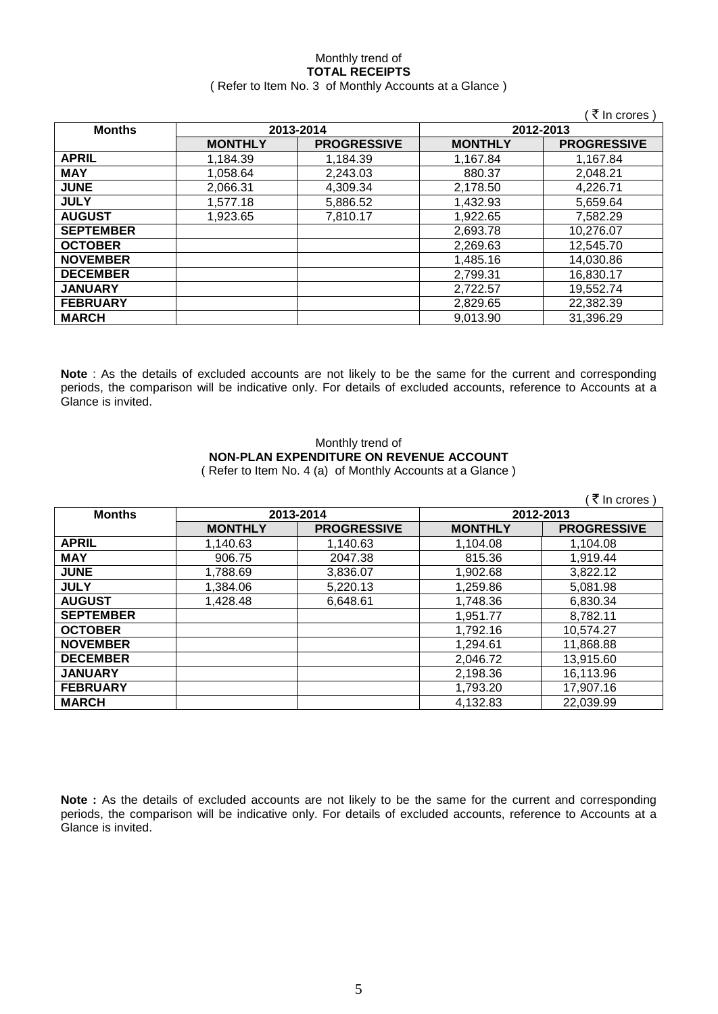#### Monthly trend of **TOTAL RECEIPTS** ( Refer to Item No. 3 of Monthly Accounts at a Glance )

|                  |                |                    |                | ₹ In crores        |
|------------------|----------------|--------------------|----------------|--------------------|
| <b>Months</b>    |                | 2013-2014          |                | 2012-2013          |
|                  | <b>MONTHLY</b> | <b>PROGRESSIVE</b> | <b>MONTHLY</b> | <b>PROGRESSIVE</b> |
| <b>APRIL</b>     | 1,184.39       | 1.184.39           | 1,167.84       | 1.167.84           |
| <b>MAY</b>       | 1.058.64       | 2,243.03           | 880.37         | 2,048.21           |
| <b>JUNE</b>      | 2.066.31       | 4,309.34           | 2,178.50       | 4.226.71           |
| <b>JULY</b>      | 1,577.18       | 5,886.52           | 1,432.93       | 5,659.64           |
| <b>AUGUST</b>    | 1,923.65       | 7,810.17           | 1,922.65       | 7.582.29           |
| <b>SEPTEMBER</b> |                |                    | 2,693.78       | 10,276.07          |
| <b>OCTOBER</b>   |                |                    | 2,269.63       | 12,545.70          |
| <b>NOVEMBER</b>  |                |                    | 1,485.16       | 14.030.86          |
| <b>DECEMBER</b>  |                |                    | 2,799.31       | 16,830.17          |
| <b>JANUARY</b>   |                |                    | 2,722.57       | 19,552.74          |
| <b>FEBRUARY</b>  |                |                    | 2,829.65       | 22,382.39          |
| <b>MARCH</b>     |                |                    | 9,013.90       | 31,396.29          |

**Note** : As the details of excluded accounts are not likely to be the same for the current and corresponding periods, the comparison will be indicative only. For details of excluded accounts, reference to Accounts at a Glance is invited.

#### Monthly trend of **NON-PLAN EXPENDITURE ON REVENUE ACCOUNT** ( Refer to Item No. 4 (a) of Monthly Accounts at a Glance )

|                  |                |                    |                | ₹ In crores)       |
|------------------|----------------|--------------------|----------------|--------------------|
| <b>Months</b>    |                | 2013-2014          |                | 2012-2013          |
|                  | <b>MONTHLY</b> | <b>PROGRESSIVE</b> | <b>MONTHLY</b> | <b>PROGRESSIVE</b> |
| <b>APRIL</b>     | 1,140.63       | 1,140.63           | 1,104.08       | 1,104.08           |
| <b>MAY</b>       | 906.75         | 2047.38            | 815.36         | 1,919.44           |
| <b>JUNE</b>      | 1,788.69       | 3,836.07           | 1,902.68       | 3,822.12           |
| <b>JULY</b>      | 1,384.06       | 5,220.13           | 1,259.86       | 5,081.98           |
| <b>AUGUST</b>    | 1,428.48       | 6,648.61           | 1,748.36       | 6,830.34           |
| <b>SEPTEMBER</b> |                |                    | 1.951.77       | 8,782.11           |
| <b>OCTOBER</b>   |                |                    | 1,792.16       | 10,574.27          |
| <b>NOVEMBER</b>  |                |                    | 1,294.61       | 11,868.88          |
| <b>DECEMBER</b>  |                |                    | 2,046.72       | 13,915.60          |
| <b>JANUARY</b>   |                |                    | 2,198.36       | 16,113.96          |
| <b>FEBRUARY</b>  |                |                    | 1,793.20       | 17,907.16          |
| <b>MARCH</b>     |                |                    | 4,132.83       | 22,039.99          |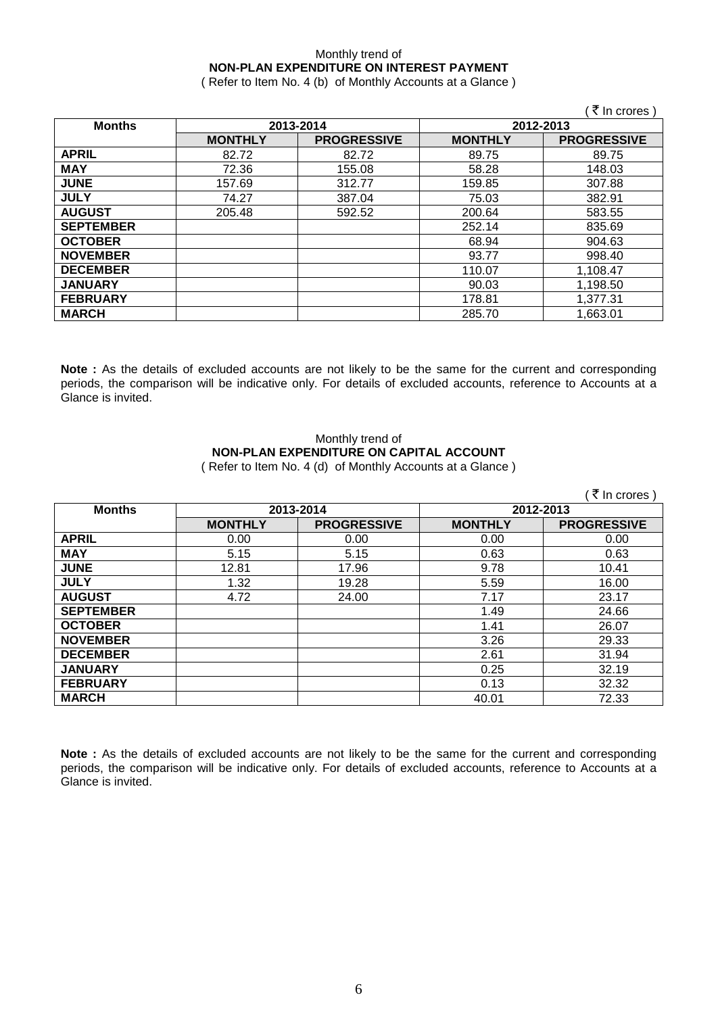#### Monthly trend of **NON-PLAN EXPENDITURE ON INTEREST PAYMENT** ( Refer to Item No. 4 (b) of Monthly Accounts at a Glance )

|                  |                |                    |                | $\sim$ 111 $\sim$ 101 $\sigma$ 3 |
|------------------|----------------|--------------------|----------------|----------------------------------|
| <b>Months</b>    | 2013-2014      |                    | 2012-2013      |                                  |
|                  | <b>MONTHLY</b> | <b>PROGRESSIVE</b> | <b>MONTHLY</b> | <b>PROGRESSIVE</b>               |
| <b>APRIL</b>     | 82.72          | 82.72              | 89.75          | 89.75                            |
| <b>MAY</b>       | 72.36          | 155.08             | 58.28          | 148.03                           |
| <b>JUNE</b>      | 157.69         | 312.77             | 159.85         | 307.88                           |
| <b>JULY</b>      | 74.27          | 387.04             | 75.03          | 382.91                           |
| <b>AUGUST</b>    | 205.48         | 592.52             | 200.64         | 583.55                           |
| <b>SEPTEMBER</b> |                |                    | 252.14         | 835.69                           |
| <b>OCTOBER</b>   |                |                    | 68.94          | 904.63                           |
| <b>NOVEMBER</b>  |                |                    | 93.77          | 998.40                           |
| <b>DECEMBER</b>  |                |                    | 110.07         | 1,108.47                         |
| <b>JANUARY</b>   |                |                    | 90.03          | 1,198.50                         |
| <b>FEBRUARY</b>  |                |                    | 178.81         | 1,377.31                         |
| <b>MARCH</b>     |                |                    | 285.70         | 1,663.01                         |

**Note :** As the details of excluded accounts are not likely to be the same for the current and corresponding periods, the comparison will be indicative only. For details of excluded accounts, reference to Accounts at a Glance is invited.

# Monthly trend of **NON-PLAN EXPENDITURE ON CAPITAL ACCOUNT**

( Refer to Item No. 4 (d) of Monthly Accounts at a Glance )

|                  |                |                    |                | <b>K</b> in crores |
|------------------|----------------|--------------------|----------------|--------------------|
| <b>Months</b>    |                | 2013-2014          | 2012-2013      |                    |
|                  | <b>MONTHLY</b> | <b>PROGRESSIVE</b> | <b>MONTHLY</b> | <b>PROGRESSIVE</b> |
| <b>APRIL</b>     | 0.00           | 0.00               | 0.00           | 0.00               |
| <b>MAY</b>       | 5.15           | 5.15               | 0.63           | 0.63               |
| <b>JUNE</b>      | 12.81          | 17.96              | 9.78           | 10.41              |
| <b>JULY</b>      | 1.32           | 19.28              | 5.59           | 16.00              |
| <b>AUGUST</b>    | 4.72           | 24.00              | 7.17           | 23.17              |
| <b>SEPTEMBER</b> |                |                    | 1.49           | 24.66              |
| <b>OCTOBER</b>   |                |                    | 1.41           | 26.07              |
| <b>NOVEMBER</b>  |                |                    | 3.26           | 29.33              |
| <b>DECEMBER</b>  |                |                    | 2.61           | 31.94              |
| <b>JANUARY</b>   |                |                    | 0.25           | 32.19              |
| <b>FEBRUARY</b>  |                |                    | 0.13           | 32.32              |
| <b>MARCH</b>     |                |                    | 40.01          | 72.33              |

**Note :** As the details of excluded accounts are not likely to be the same for the current and corresponding periods, the comparison will be indicative only. For details of excluded accounts, reference to Accounts at a Glance is invited.

 $\sqrt{7}$  In crores )

 $( F$  In crores )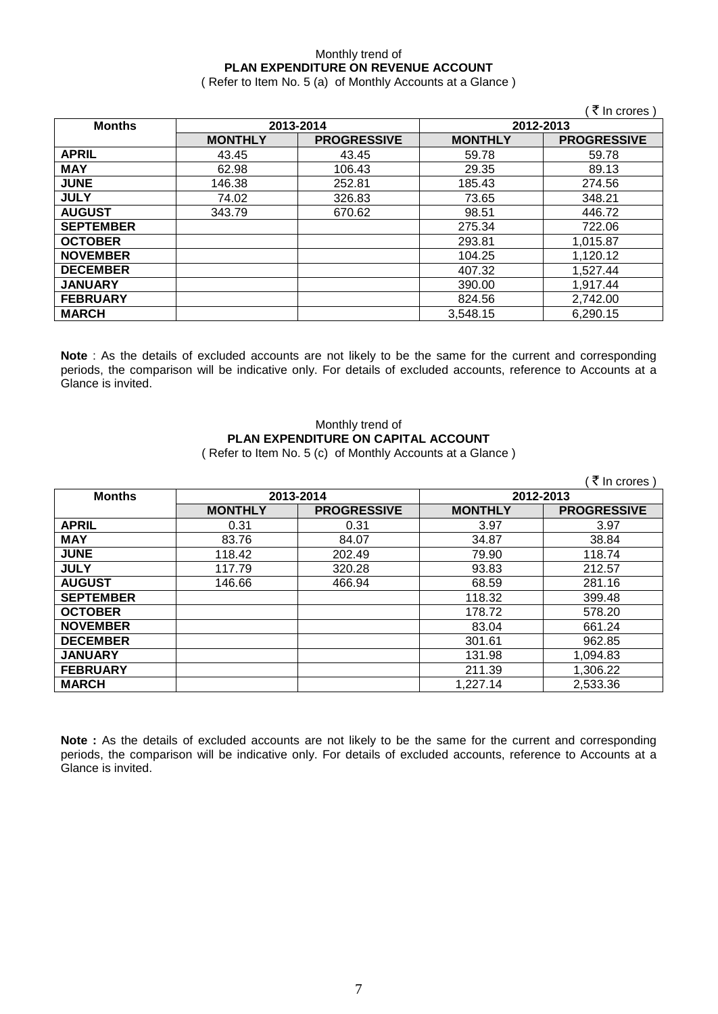#### Monthly trend of **PLAN EXPENDITURE ON REVENUE ACCOUNT** ( Refer to Item No. 5 (a) of Monthly Accounts at a Glance )

 $($   $\bar{z}$  In crores ) **Months 2013-2014 2012-2013 MONTHLY PROGRESSIVE MONTHLY PROGRESSIVE APRIL** 43.45 43.45 59.78 59.78 **MAY** | 62.98 | 106.43 | 29.35 | 89.13 **JUNE** 146.38 252.81 185.43 274.56 **JULY** 74.02 | 326.83 | 73.65 | 348.21 **AUGUST** 343.79 670.62 98.51 446.72 **SEPTEMBER** | 275.34 | 722.06 **OCTOBER** 293.81 1,015.87 **NOVEMBER** 104.25 1,120.12<br> **DECEMBER** 10527.44 **DECEMBER** 407.32 1,527.44 **JANUARY** 390.00 1,917.44 **FEBRUARY** 824.56 2,742.00 **MARCH** 3,548.15 6,290.15

**Note** : As the details of excluded accounts are not likely to be the same for the current and corresponding periods, the comparison will be indicative only. For details of excluded accounts, reference to Accounts at a Glance is invited.

#### Monthly trend of **PLAN EXPENDITURE ON CAPITAL ACCOUNT** ( Refer to Item No. 5 (c) of Monthly Accounts at a Glance )

|                  |                |                    |                | ₹ In crores)       |
|------------------|----------------|--------------------|----------------|--------------------|
| <b>Months</b>    |                | 2013-2014          | 2012-2013      |                    |
|                  | <b>MONTHLY</b> | <b>PROGRESSIVE</b> | <b>MONTHLY</b> | <b>PROGRESSIVE</b> |
| <b>APRIL</b>     | 0.31           | 0.31               | 3.97           | 3.97               |
| <b>MAY</b>       | 83.76          | 84.07              | 34.87          | 38.84              |
| <b>JUNE</b>      | 118.42         | 202.49             | 79.90          | 118.74             |
| <b>JULY</b>      | 117.79         | 320.28             | 93.83          | 212.57             |
| <b>AUGUST</b>    | 146.66         | 466.94             | 68.59          | 281.16             |
| <b>SEPTEMBER</b> |                |                    | 118.32         | 399.48             |
| <b>OCTOBER</b>   |                |                    | 178.72         | 578.20             |
| <b>NOVEMBER</b>  |                |                    | 83.04          | 661.24             |
| <b>DECEMBER</b>  |                |                    | 301.61         | 962.85             |
| <b>JANUARY</b>   |                |                    | 131.98         | 1,094.83           |
| <b>FEBRUARY</b>  |                |                    | 211.39         | 1,306.22           |
| <b>MARCH</b>     |                |                    | 1,227.14       | 2,533.36           |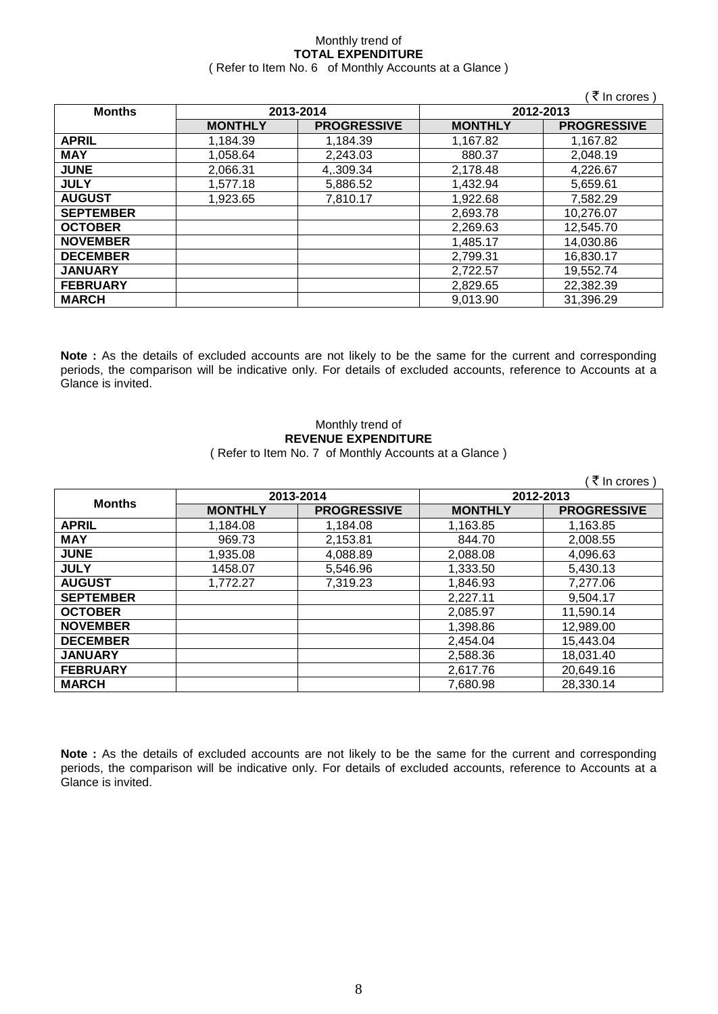#### Monthly trend of **TOTAL EXPENDITURE** ( Refer to Item No. 6 of Monthly Accounts at a Glance )

|                  |                |                    |                | ( ₹ In crores )    |
|------------------|----------------|--------------------|----------------|--------------------|
| <b>Months</b>    | 2013-2014      |                    | 2012-2013      |                    |
|                  | <b>MONTHLY</b> | <b>PROGRESSIVE</b> | <b>MONTHLY</b> | <b>PROGRESSIVE</b> |
| <b>APRIL</b>     | 1,184.39       | 1,184.39           | 1,167.82       | 1,167.82           |
| <b>MAY</b>       | 1,058.64       | 2,243.03           | 880.37         | 2,048.19           |
| <b>JUNE</b>      | 2,066.31       | 4,.309.34          | 2,178.48       | 4,226.67           |
| <b>JULY</b>      | 1,577.18       | 5,886.52           | 1,432.94       | 5,659.61           |
| <b>AUGUST</b>    | 1,923.65       | 7,810.17           | 1,922.68       | 7,582.29           |
| <b>SEPTEMBER</b> |                |                    | 2,693.78       | 10,276.07          |
| <b>OCTOBER</b>   |                |                    | 2,269.63       | 12,545.70          |
| <b>NOVEMBER</b>  |                |                    | 1,485.17       | 14,030.86          |
| <b>DECEMBER</b>  |                |                    | 2,799.31       | 16,830.17          |
| <b>JANUARY</b>   |                |                    | 2,722.57       | 19,552.74          |
| <b>FEBRUARY</b>  |                |                    | 2,829.65       | 22,382.39          |
| <b>MARCH</b>     |                |                    | 9,013.90       | 31,396.29          |

**Note :** As the details of excluded accounts are not likely to be the same for the current and corresponding periods, the comparison will be indicative only. For details of excluded accounts, reference to Accounts at a Glance is invited.

#### Monthly trend of **REVENUE EXPENDITURE** ( Refer to Item No. 7 of Monthly Accounts at a Glance )

|                  |                |                    |                | ₹ In crores)       |
|------------------|----------------|--------------------|----------------|--------------------|
| <b>Months</b>    | 2013-2014      |                    | 2012-2013      |                    |
|                  | <b>MONTHLY</b> | <b>PROGRESSIVE</b> | <b>MONTHLY</b> | <b>PROGRESSIVE</b> |
| <b>APRIL</b>     | 1,184.08       | 1,184.08           | 1,163.85       | 1,163.85           |
| <b>MAY</b>       | 969.73         | 2,153.81           | 844.70         | 2,008.55           |
| <b>JUNE</b>      | 1,935.08       | 4,088.89           | 2,088.08       | 4,096.63           |
| <b>JULY</b>      | 1458.07        | 5,546.96           | 1,333.50       | 5,430.13           |
| <b>AUGUST</b>    | 1,772.27       | 7,319.23           | 1,846.93       | 7,277.06           |
| <b>SEPTEMBER</b> |                |                    | 2,227.11       | 9,504.17           |
| <b>OCTOBER</b>   |                |                    | 2,085.97       | 11,590.14          |
| <b>NOVEMBER</b>  |                |                    | 1,398.86       | 12,989.00          |
| <b>DECEMBER</b>  |                |                    | 2,454.04       | 15,443.04          |
| <b>JANUARY</b>   |                |                    | 2,588.36       | 18,031.40          |
| <b>FEBRUARY</b>  |                |                    | 2,617.76       | 20,649.16          |
| <b>MARCH</b>     |                |                    | 7.680.98       | 28,330.14          |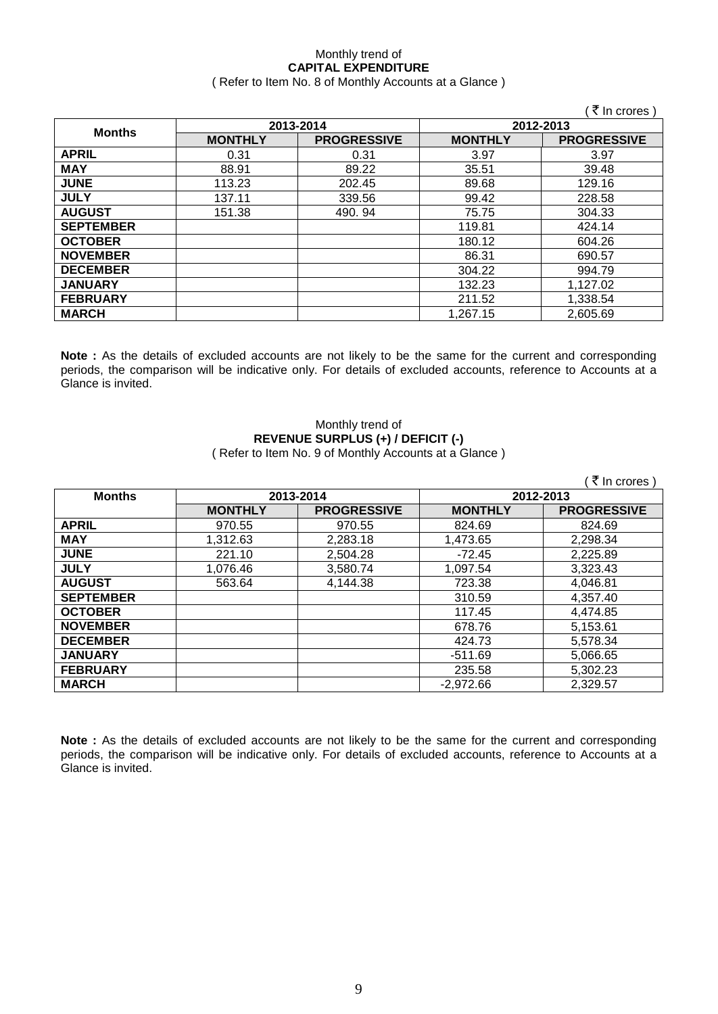#### Monthly trend of **CAPITAL EXPENDITURE**  ( Refer to Item No. 8 of Monthly Accounts at a Glance )

|                  |                |                    |                | ∶₹ In crores )     |
|------------------|----------------|--------------------|----------------|--------------------|
| <b>Months</b>    | 2013-2014      |                    | 2012-2013      |                    |
|                  | <b>MONTHLY</b> | <b>PROGRESSIVE</b> | <b>MONTHLY</b> | <b>PROGRESSIVE</b> |
| <b>APRIL</b>     | 0.31           | 0.31               | 3.97           | 3.97               |
| <b>MAY</b>       | 88.91          | 89.22              | 35.51          | 39.48              |
| <b>JUNE</b>      | 113.23         | 202.45             | 89.68          | 129.16             |
| <b>JULY</b>      | 137.11         | 339.56             | 99.42          | 228.58             |
| <b>AUGUST</b>    | 151.38         | 490.94             | 75.75          | 304.33             |
| <b>SEPTEMBER</b> |                |                    | 119.81         | 424.14             |
| <b>OCTOBER</b>   |                |                    | 180.12         | 604.26             |
| <b>NOVEMBER</b>  |                |                    | 86.31          | 690.57             |
| <b>DECEMBER</b>  |                |                    | 304.22         | 994.79             |
| <b>JANUARY</b>   |                |                    | 132.23         | 1,127.02           |
| <b>FEBRUARY</b>  |                |                    | 211.52         | 1,338.54           |
| <b>MARCH</b>     |                |                    | 1.267.15       | 2,605.69           |

**Note :** As the details of excluded accounts are not likely to be the same for the current and corresponding periods, the comparison will be indicative only. For details of excluded accounts, reference to Accounts at a Glance is invited.

#### Monthly trend of **REVENUE SURPLUS (+) / DEFICIT (-)** ( Refer to Item No. 9 of Monthly Accounts at a Glance )

|                  |                |                    |                | ₹ In crores)       |
|------------------|----------------|--------------------|----------------|--------------------|
| <b>Months</b>    | 2013-2014      |                    | 2012-2013      |                    |
|                  | <b>MONTHLY</b> | <b>PROGRESSIVE</b> | <b>MONTHLY</b> | <b>PROGRESSIVE</b> |
| <b>APRIL</b>     | 970.55         | 970.55             | 824.69         | 824.69             |
| <b>MAY</b>       | 1,312.63       | 2,283.18           | 1,473.65       | 2,298.34           |
| <b>JUNE</b>      | 221.10         | 2,504.28           | $-72.45$       | 2,225.89           |
| <b>JULY</b>      | 1,076.46       | 3,580.74           | 1,097.54       | 3,323.43           |
| <b>AUGUST</b>    | 563.64         | 4,144.38           | 723.38         | 4,046.81           |
| <b>SEPTEMBER</b> |                |                    | 310.59         | 4,357.40           |
| <b>OCTOBER</b>   |                |                    | 117.45         | 4,474.85           |
| <b>NOVEMBER</b>  |                |                    | 678.76         | 5,153.61           |
| <b>DECEMBER</b>  |                |                    | 424.73         | 5,578.34           |
| <b>JANUARY</b>   |                |                    | $-511.69$      | 5,066.65           |
| <b>FEBRUARY</b>  |                |                    | 235.58         | 5,302.23           |
| <b>MARCH</b>     |                |                    | $-2,972.66$    | 2,329.57           |